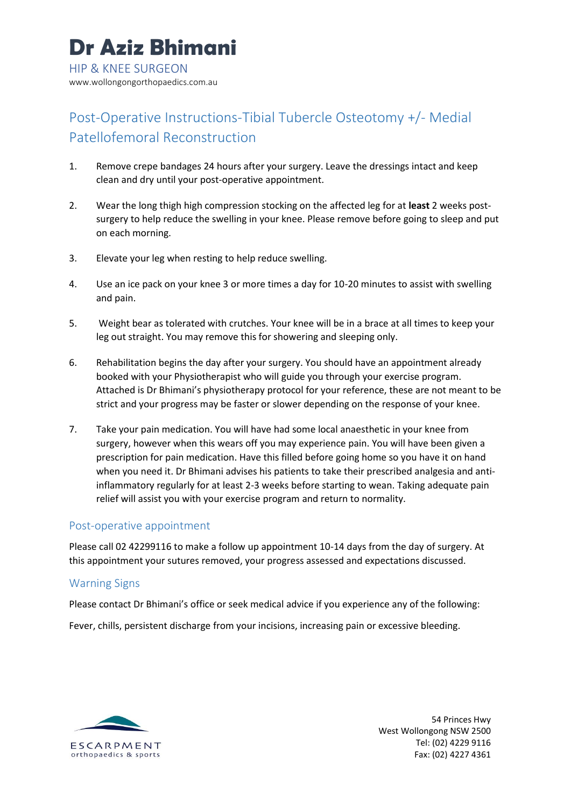# Post-Operative Instructions-Tibial Tubercle Osteotomy +/- Medial Patellofemoral Reconstruction

- 1. Remove crepe bandages 24 hours after your surgery. Leave the dressings intact and keep clean and dry until your post-operative appointment.
- 2. Wear the long thigh high compression stocking on the affected leg for at **least** 2 weeks postsurgery to help reduce the swelling in your knee. Please remove before going to sleep and put on each morning.
- 3. Elevate your leg when resting to help reduce swelling.
- 4. Use an ice pack on your knee 3 or more times a day for 10-20 minutes to assist with swelling and pain.
- 5. Weight bear as tolerated with crutches. Your knee will be in a brace at all times to keep your leg out straight. You may remove this for showering and sleeping only.
- 6. Rehabilitation begins the day after your surgery. You should have an appointment already booked with your Physiotherapist who will guide you through your exercise program. Attached is Dr Bhimani's physiotherapy protocol for your reference, these are not meant to be strict and your progress may be faster or slower depending on the response of your knee.
- 7. Take your pain medication. You will have had some local anaesthetic in your knee from surgery, however when this wears off you may experience pain. You will have been given a prescription for pain medication. Have this filled before going home so you have it on hand when you need it. Dr Bhimani advises his patients to take their prescribed analgesia and antiinflammatory regularly for at least 2-3 weeks before starting to wean. Taking adequate pain relief will assist you with your exercise program and return to normality.

# Post-operative appointment

Please call 02 42299116 to make a follow up appointment 10-14 days from the day of surgery. At this appointment your sutures removed, your progress assessed and expectations discussed.

# Warning Signs

Please contact Dr Bhimani's office or seek medical advice if you experience any of the following:

Fever, chills, persistent discharge from your incisions, increasing pain or excessive bleeding.



54 Princes Hwy West Wollongong NSW 2500 Tel: (02) 4229 9116 Fax: (02) 4227 4361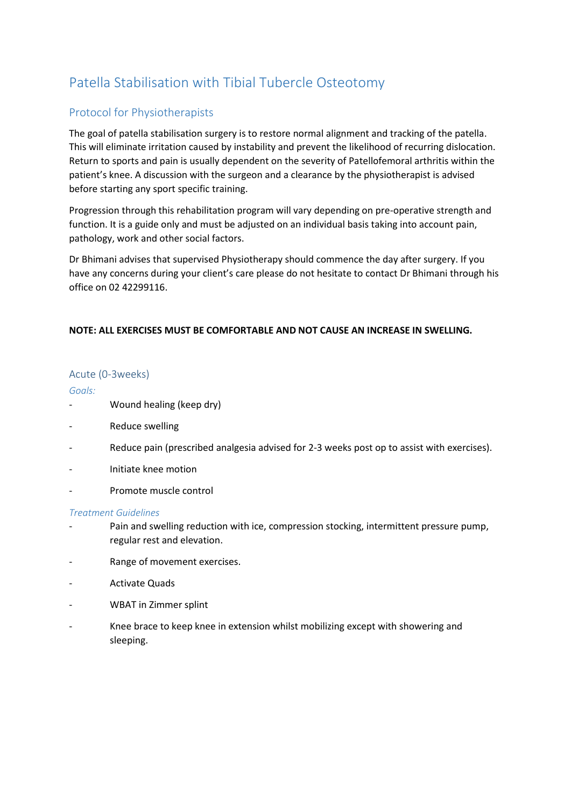# Patella Stabilisation with Tibial Tubercle Osteotomy

# Protocol for Physiotherapists

The goal of patella stabilisation surgery is to restore normal alignment and tracking of the patella. This will eliminate irritation caused by instability and prevent the likelihood of recurring dislocation. Return to sports and pain is usually dependent on the severity of Patellofemoral arthritis within the patient's knee. A discussion with the surgeon and a clearance by the physiotherapist is advised before starting any sport specific training.

Progression through this rehabilitation program will vary depending on pre-operative strength and function. It is a guide only and must be adjusted on an individual basis taking into account pain, pathology, work and other social factors.

Dr Bhimani advises that supervised Physiotherapy should commence the day after surgery. If you have any concerns during your client's care please do not hesitate to contact Dr Bhimani through his office on 02 42299116.

# **NOTE: ALL EXERCISES MUST BE COMFORTABLE AND NOT CAUSE AN INCREASE IN SWELLING.**

# Acute (0-3weeks)

#### *Goals:*

- Wound healing (keep dry)
- Reduce swelling
- Reduce pain (prescribed analgesia advised for 2-3 weeks post op to assist with exercises).
- Initiate knee motion
- Promote muscle control

# *Treatment Guidelines*

- Pain and swelling reduction with ice, compression stocking, intermittent pressure pump, regular rest and elevation.
- Range of movement exercises.
- Activate Quads
- WBAT in Zimmer splint
- Knee brace to keep knee in extension whilst mobilizing except with showering and sleeping.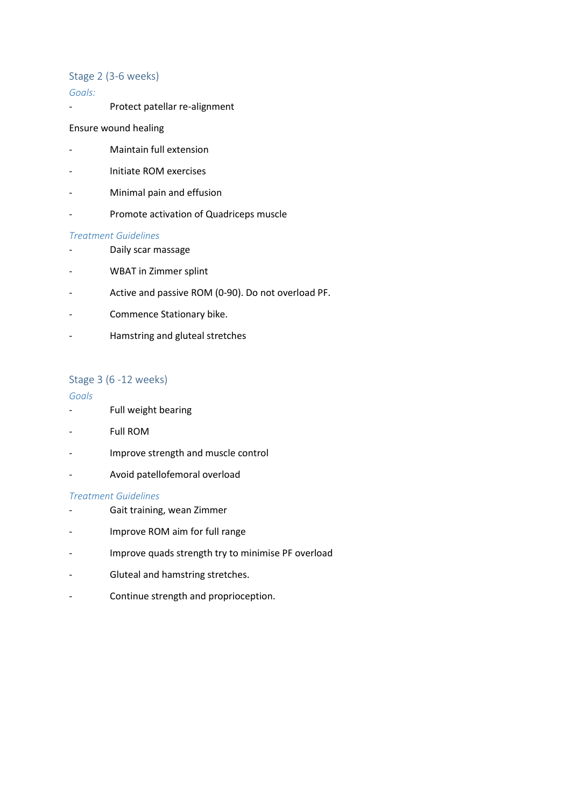### Stage 2 (3-6 weeks)

#### *Goals:*

- Protect patellar re-alignment

#### Ensure wound healing

- Maintain full extension
- Initiate ROM exercises
- Minimal pain and effusion
- Promote activation of Quadriceps muscle

#### *Treatment Guidelines*

- Daily scar massage
- WBAT in Zimmer splint
- Active and passive ROM (0-90). Do not overload PF.
- Commence Stationary bike.
- Hamstring and gluteal stretches

#### Stage 3 (6 -12 weeks)

#### *Goals*

- Full weight bearing
- Full ROM
- Improve strength and muscle control
- Avoid patellofemoral overload

#### *Treatment Guidelines*

- Gait training, wean Zimmer
- Improve ROM aim for full range
- Improve quads strength try to minimise PF overload
- Gluteal and hamstring stretches.
- Continue strength and proprioception.